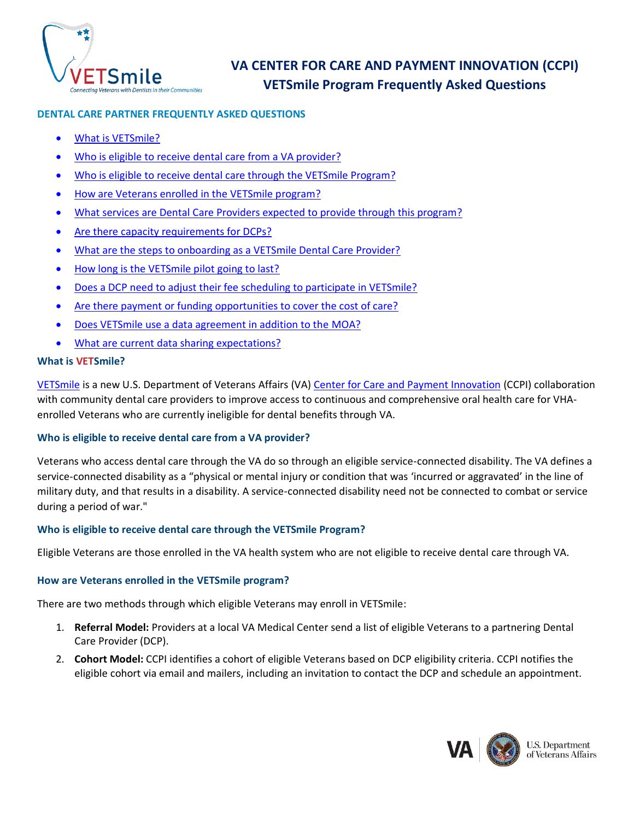

# **VA CENTER FOR CARE AND PAYMENT INNOVATION (CCPI) VETSmile Program Frequently Asked Questions**

# **DENTAL CARE PARTNER FREQUENTLY ASKED QUESTIONS**

- [What is VETSmile?](#page-0-0)
- [Who is eligible to receive](#page-0-1) dental care from a VA provider?
- Who is eligible to receive [dental care through the VETSmile Program?](#page-0-2)
- [How are Veterans enrolled in the VETSmile program?](#page-0-3)
- [What services are Dental Care Providers expected to provide through this program?](#page-1-0)
- [Are there capacity requirements for DCPs?](#page-1-1)
- [What are the steps to onboarding as a VETSmile Dental Care Provider?](#page-1-2)
- [How long is the VETSmile pilot going to last?](#page-1-3)
- [Does a DCP need to adjust their fee scheduling to participate in VETSmile?](#page-1-4)
- Are there payment [or funding opportunities to cover the cost of care?](#page-1-5)
- [Does VETSmile use a data agreement in addition to the MOA?](#page-1-6)
- <span id="page-0-0"></span>What are current [data sharing expectations?](#page-1-7)

# **What is VETSmile?**

[VETSmile](https://www.innovation.va.gov/careandpayment/pilots/vetsmile/) is a new U.S. Department of Veterans Affairs (VA) [Center for Care and Payment](https://www.innovation.va.gov/) Innovation (CCPI) collaboration with community dental care providers to improve access to continuous and comprehensive oral health care for VHAenrolled Veterans who are currently ineligible for dental benefits through VA.

# <span id="page-0-1"></span>**Who is eligible to receive dental care from a VA provider?**

Veterans who access dental care through the VA do so through an eligible service-connected disability. The VA defines a service-connected disability as a "physical or mental injury or condition that was 'incurred or aggravated' in the line of military duty, and that results in a disability. A service-connected disability need not be connected to combat or service during a period of war."

# <span id="page-0-2"></span>**Who is eligible to receive dental care through the VETSmile Program?**

Eligible Veterans are those enrolled in the VA health system who are not eligible to receive dental care through VA.

# **How are Veterans enrolled in the VETSmile program?**

There are two methods through which eligible Veterans may enroll in VETSmile:

- <span id="page-0-3"></span>1. **Referral Model:** Providers at a local VA Medical Center send a list of eligible Veterans to a partnering Dental Care Provider (DCP).
- 2. **Cohort Model:** CCPI identifies a cohort of eligible Veterans based on DCP eligibility criteria. CCPI notifies the eligible cohort via email and mailers, including an invitation to contact the DCP and schedule an appointment.

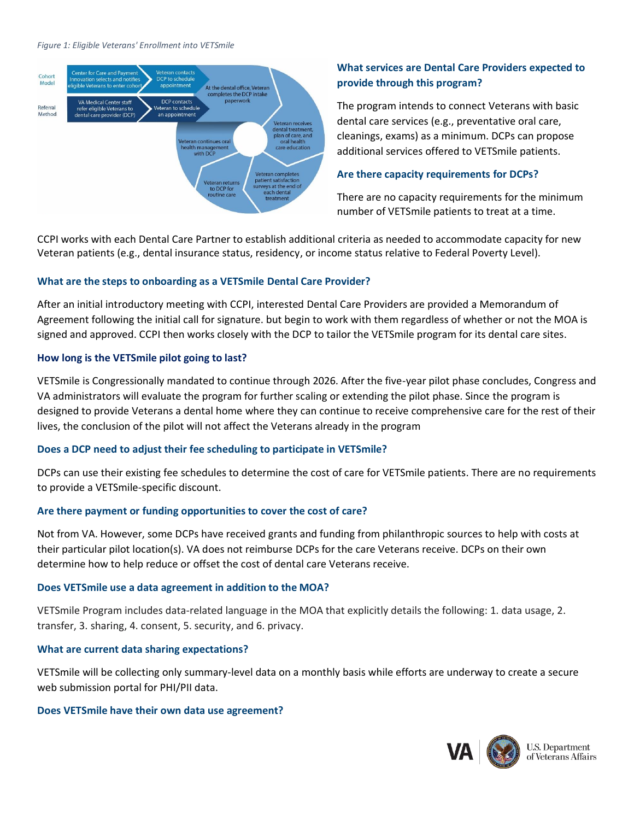#### *Figure 1: Eligible Veterans' Enrollment into VETSmile*



# <span id="page-1-0"></span>**What services are Dental Care Providers expected to provide through this program?**

The program intends to connect Veterans with basic dental care services (e.g., preventative oral care, cleanings, exams) as a minimum. DCPs can propose additional services offered to VETSmile patients.

#### <span id="page-1-1"></span>**Are there capacity requirements for DCPs?**

There are no capacity requirements for the minimum number of VETSmile patients to treat at a time.

CCPI works with each Dental Care Partner to establish additional criteria as needed to accommodate capacity for new Veteran patients (e.g., dental insurance status, residency, or income status relative to Federal Poverty Level).

#### <span id="page-1-2"></span>**What are the steps to onboarding as a VETSmile Dental Care Provider?**

After an initial introductory meeting with CCPI, interested Dental Care Providers are provided a Memorandum of Agreement following the initial call for signature. but begin to work with them regardless of whether or not the MOA is signed and approved. CCPI then works closely with the DCP to tailor the VETSmile program for its dental care sites.

#### <span id="page-1-3"></span>**How long is the VETSmile pilot going to last?**

VETSmile is Congressionally mandated to continue through 2026. After the five-year pilot phase concludes, Congress and VA administrators will evaluate the program for further scaling or extending the pilot phase. Since the program is designed to provide Veterans a dental home where they can continue to receive comprehensive care for the rest of their lives, the conclusion of the pilot will not affect the Veterans already in the program

### <span id="page-1-4"></span>**Does a DCP need to adjust their fee scheduling to participate in VETSmile?**

DCPs can use their existing fee schedules to determine the cost of care for VETSmile patients. There are no requirements to provide a VETSmile-specific discount.

### <span id="page-1-5"></span>**Are there payment or funding opportunities to cover the cost of care?**

Not from VA. However, some DCPs have received grants and funding from philanthropic sources to help with costs at their particular pilot location(s). VA does not reimburse DCPs for the care Veterans receive. DCPs on their own determine how to help reduce or offset the cost of dental care Veterans receive.

#### <span id="page-1-6"></span>**Does VETSmile use a data agreement in addition to the MOA?**

VETSmile Program includes data-related language in the MOA that explicitly details the following: 1. data usage, 2. transfer, 3. sharing, 4. consent, 5. security, and 6. privacy.

### <span id="page-1-7"></span>**What are current data sharing expectations?**

VETSmile will be collecting only summary-level data on a monthly basis while efforts are underway to create a secure web submission portal for PHI/PII data.

#### **Does VETSmile have their own data use agreement?**